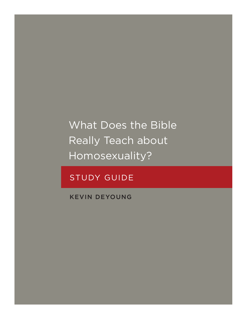What Does the Bible Really Teach about Homosexuality?

## STUDY GUIDE

KEVIN DEYOUNG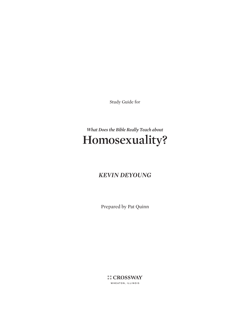Study Guide for

# *What Does the Bible Really Teach about*  **Homosexuality?**

## *KEVIN DEYOUNG*

Prepared by Pat Quinn

**TECROSSWAY** WHEATON, ILLINOIS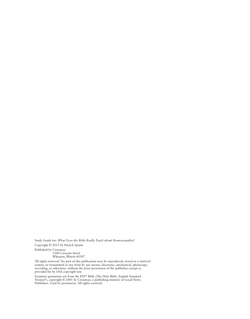Study Guide for: *What Does the Bible Really Teach about Homosexuality?* Copyright © 2015 by Patrick Quinn Published by Crossway

1300 Crescent Street Wheaton, Illinois 60187

All rights reserved. No part of this publication may be reproduced, stored in a retrieval system, or transmitted in any form by any means, electronic, mechanical, photocopy, recording, or otherwise, without the prior permission of the publisher, except as provided for by USA copyright law.

Scripture quotations are from the ESV® Bible (The Holy Bible, English Standard Version®), copyright © 2001 by Crossway, a publishing ministry of Good News Publishers. Used by permission. All rights reserved.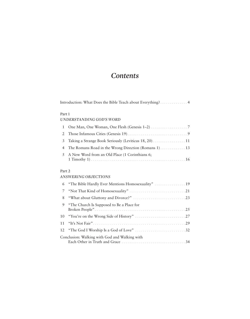## *Contents*

|--|--|--|--|

### Part 1

## *UNDERSTANDING GOD'S WORD*

| 4 The Romans Road in the Wrong Direction (Romans 1) 13 |
|--------------------------------------------------------|
| 5 A New Word from an Old Place (1 Corinthians 6;       |

## Part 2

## *ANSWERING OBJECTIONS*

| 9 | "The Church Is Supposed to Be a Place for     |
|---|-----------------------------------------------|
|   |                                               |
|   |                                               |
|   |                                               |
|   | Conclusion: Walking with God and Walking with |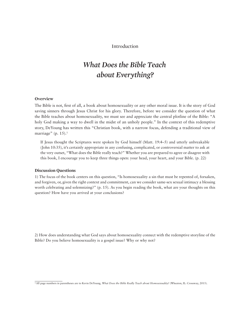## Introduction

## *What Does the Bible Teach about Everything?*

## **Overview**

The Bible is not, first of all, a book about homosexuality or any other moral issue. It is the story of God saving sinners through Jesus Christ for his glory. Therefore, before we consider the question of what the Bible teaches about homosexuality, we must see and appreciate the central plotline of the Bible: "A holy God making a way to dwell in the midst of an unholy people." In the context of this redemptive story, DeYoung has written this "Christian book, with a narrow focus, defending a traditional view of marriage" (p. 15). $1$ 

If Jesus thought the Scriptures were spoken by God himself (Matt.  $19:4-5$ ) and utterly unbreakable (John 10:35), it's certainly appropriate in any confusing, complicated, or controversial matter to ask at the very outset, "What does the Bible really teach?" Whether you are prepared to agree or disagree with this book, I encourage you to keep three things open: your head, your heart, and your Bible. (p. 22)

#### **Discussion Questions**

1) The focus of the book centers on this question, "Is homosexuality a sin that must be repented of, forsaken, and forgiven, or, given the right context and commitment, can we consider same-sex sexual intimacy a blessing worth celebrating and solemnizing?" (p. 15). As you begin reading the book, what are your thoughts on this question? How have you arrived at your conclusions?

2) How does understanding what God says about homosexuality connect with the redemptive storyline of the Bible? Do you believe homosexuality is a gospel issue? Why or why not?

<sup>1</sup>All page numbers in parentheses are to Kevin DeYoung, *What Does the Bible Really Teach about Homosexuality?* (Wheaton, IL: Crossway, 2015).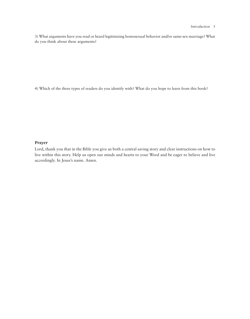3) What arguments have you read or heard legitimizing homosexual behavior and/or same-sex marriage? What do you think about these arguments?

4) Which of the three types of readers do you identify with? What do you hope to learn from this book?

### **Prayer**

Lord, thank you that in the Bible you give us both a central saving story and clear instructions on how to live within this story. Help us open our minds and hearts to your Word and be eager to believe and live accordingly. In Jesus's name. Amen.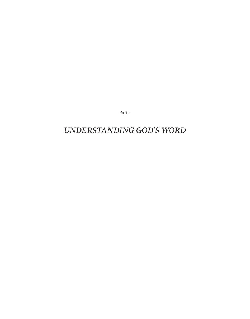Part 1

## *UNDERSTANDING GOD'S WORD*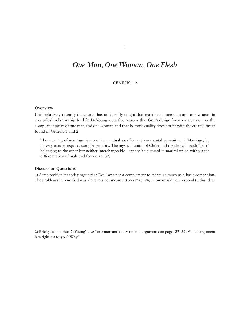## 1

## *One Man, One Woman, One Flesh*

GENESIS 1–2

### **Overview**

Until relatively recently the church has universally taught that marriage is one man and one woman in a one-flesh relationship for life. DeYoung gives five reasons that God's design for marriage requires the complementarity of one man and one woman and that homosexuality does not fit with the created order found in Genesis 1 and 2.

The meaning of marriage is more than mutual sacrifice and covenantal commitment. Marriage, by its very nature, requires complementarity. The mystical union of Christ and the church—each "part" belonging to the other but neither interchangeable—cannot be pictured in marital union without the differentiation of male and female. (p. 32)

### **Discussion Questions**

1) Some revisionists today argue that Eve "was not a complement to Adam as much as a basic companion. The problem she remedied was aloneness not incompleteness" (p. 26). How would you respond to this idea?

2) Briefly summarize DeYoung's five "one man and one woman" arguments on pages 27–32. Which argument is weightiest to you? Why?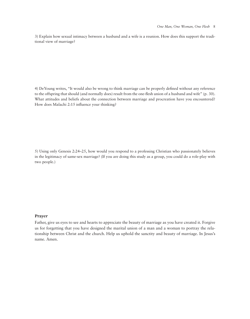3) Explain how sexual intimacy between a husband and a wife is a reunion. How does this support the traditional view of marriage?

4) DeYoung writes, "It would also be wrong to think marriage can be properly defined without any reference to the offspring that should (and normally does) result from the one-flesh union of a husband and wife" (p. 30). What attitudes and beliefs about the connection between marriage and procreation have you encountered? How does Malachi 2:15 influence your thinking?

5) Using only Genesis 2:24–25, how would you respond to a professing Christian who passionately believes in the legitimacy of same-sex marriage? (If you are doing this study as a group, you could do a role-play with two people.)

### **Prayer**

Father, give us eyes to see and hearts to appreciate the beauty of marriage as you have created it. Forgive us for forgetting that you have designed the marital union of a man and a woman to portray the relationship between Christ and the church. Help us uphold the sanctity and beauty of marriage. In Jesus's name. Amen.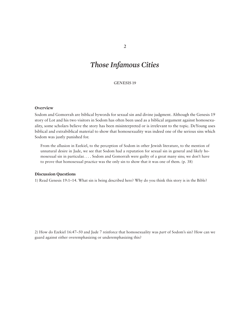## *Those Infamous Cities*

#### GENESIS 19

#### **Overview**

Sodom and Gomorrah are biblical bywords for sexual sin and divine judgment. Although the Genesis 19 story of Lot and his two visitors in Sodom has often been used as a biblical argument against homosexuality, some scholars believe the story has been misinterpreted or is irrelevant to the topic. DeYoung uses biblical and extrabiblical material to show that homosexuality was indeed one of the serious sins which Sodom was justly punished for.

From the allusion in Ezekiel, to the perception of Sodom in other Jewish literature, to the mention of unnatural desire in Jude, we see that Sodom had a reputation for sexual sin in general and likely homosexual sin in particular. . . . Sodom and Gomorrah were guilty of a great many sins; we don't have to prove that homosexual practice was the only sin to show that it was one of them. (p. 38)

#### **Discussion Questions**

1) Read Genesis 19:1–14. What sin is being described here? Why do you think this story is in the Bible?

2) How do Ezekiel 16:47–50 and Jude 7 reinforce that homosexuality was *part* of Sodom's sin? How can we guard against either overemphasizing or underemphasizing this?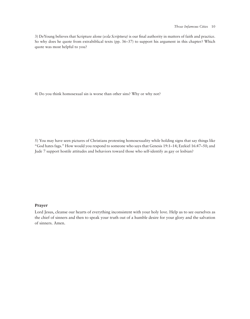3) DeYoung believes that Scripture alone (*sola Scriptura)* is our final authority in matters of faith and practice. So why does he quote from extrabiblical texts (pp. 36–37) to support his argument in this chapter? Which quote was most helpful to you?

4) Do you think homosexual sin is worse than other sins? Why or why not?

5) You may have seen pictures of Christians protesting homosexuality while holding signs that say things like "God hates fags." How would you respond to someone who says that Genesis 19:1–14; Ezekiel 16:47–50; and Jude 7 support hostile attitudes and behaviors toward those who self-identify as gay or lesbian?

## **Prayer**

Lord Jesus, cleanse our hearts of everything inconsistent with your holy love. Help us to see ourselves as the chief of sinners and then to speak your truth out of a humble desire for your glory and the salvation of sinners. Amen.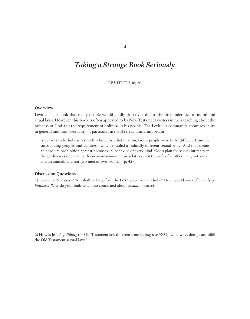## *Taking a Strange Book Seriously*

LEVITICUS 18; 20

#### **Overview**

Leviticus is a book that many people would gladly skip over, due to the preponderance of moral and ritual laws. However, this book is often appealed to by New Testament writers in their teaching about the holiness of God and the requirement of holiness in his people. The Leviticus commands about sexuality in general and homosexuality in particular are still relevant and important.

Israel was to be holy as Yahweh is holy. As a holy nation, God's people were to be different from the surrounding peoples and cultures—which entailed a radically different sexual ethic. And that meant an absolute prohibition against homosexual behavior of every kind. God's plan for sexual intimacy in the garden was one man with one woman—not close relatives, not the wife of another man, not a man and an animal, and not two men or two women. (p. 42)

#### **Discussion Questions**

1) Leviticus 19:2 says, "You shall be holy, for I the Lord your God am holy." How would you define *holy* or *holiness*? Why do you think God is so concerned about *sexual* holiness?

2) How is Jesus's *fulfilling* the Old Testament law different from *setting it aside*? In what ways does Jesus fulfill the Old Testament sexual laws?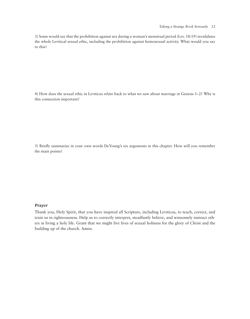3) Some would say that the prohibition against sex during a woman's menstrual period (Lev. 18:19) invalidates the whole Levitical sexual ethic, including the prohibition against homosexual activity. What would you say to this?

4) How does the sexual ethic in Leviticus relate back to what we saw about marriage in Genesis 1–2? Why is this connection important?

5) Briefly summarize in your own words DeYoung's six arguments in this chapter. How will you remember the main points?

## **Prayer**

Thank you, Holy Spirit, that you have inspired all Scripture, including Leviticus, to teach, correct, and train us in righteousness. Help us to correctly interpret, steadfastly believe, and winsomely instruct others in living a holy life. Grant that we might live lives of sexual holiness for the glory of Christ and the building up of the church. Amen.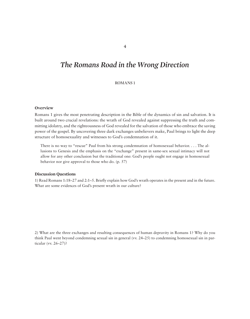## *The Romans Road in the Wrong Direction*

ROMANS 1

#### **Overview**

Romans 1 gives the most penetrating description in the Bible of the dynamics of sin and salvation. It is built around two crucial revelations: the wrath of God revealed against suppressing the truth and committing idolatry, and the righteousness of God revealed for the salvation of those who embrace the saving power of the gospel. By uncovering three dark exchanges unbelievers make, Paul brings to light the deep structure of homosexuality and witnesses to God's condemnation of it.

There is no way to "rescue" Paul from his strong condemnation of homosexual behavior. . . . The allusions to Genesis and the emphasis on the "exchange" present in same-sex sexual intimacy will not allow for any other conclusion but the traditional one: God's people ought not engage in homosexual behavior nor give approval to those who do. (p. 57)

#### **Discussion Questions**

1) Read Romans 1:18–27 and 2:1–5. Briefly explain how God's wrath operates in the present and in the future. What are some evidences of God's present wrath in our culture?

2) What are the three exchanges and resulting consequences of human depravity in Romans 1? Why do you think Paul went beyond condemning sexual sin in general (vv. 24–25) to condemning homosexual sin in particular (vv. 26–27)?

4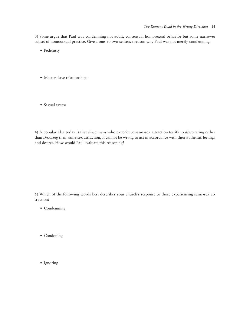3) Some argue that Paul was condemning not adult, consensual homosexual behavior but some narrower subset of homosexual practice. Give a one- to two-sentence reason why Paul was not merely condemning:

• Pederasty

- Master-slave relationships
- Sexual excess

4) A popular idea today is that since many who experience same-sex attraction testify to *discovering* rather than *choosing* their same-sex attraction, it cannot be wrong to act in accordance with their authentic feelings and desires. How would Paul evaluate this reasoning?

5) Which of the following words best describes your church's response to those experiencing same-sex attraction?

- Condemning
- Condoning
- Ignoring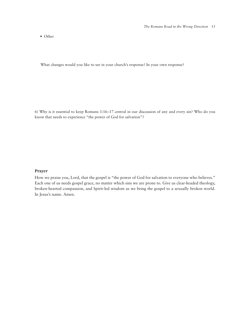• Other

What changes would you like to see in your church's response? In your own response?

6) Why is it essential to keep Romans 1:16–17 central in our discussion of any and every sin? Who do you know that needs to experience "the power of God for salvation"?

#### **Prayer**

How we praise you, Lord, that the gospel is "the power of God for salvation to everyone who believes." Each one of us needs gospel grace, no matter which sins we are prone to. Give us clear-headed theology, broken-hearted compassion, and Spirit-led wisdom as we bring the gospel to a sexually broken world. In Jesus's name. Amen.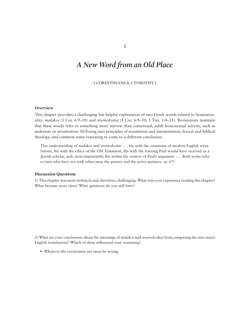## *A New Word from an Old Place*

1 CORINTHIANS 6; 1 TIMOTHY 1

#### **Overview**

This chapter provides a challenging but helpful explanation of two Greek words related to homosexuality: *malakoi* (1 Cor. 6:9–10) and *arsenokoitai* (1 Cor. 6:9–10; 1 Tim. 1:8–11). Revisionists maintain that these words refer to something more narrow than consensual, adult homosexual activity, such as pederasty or prostitution. DeYoung uses principles of translation and interpretation, lexical and biblical theology, and common-sense reasoning to come to a different conclusion.

This understanding of *malakoi* and *arsenokoitai* . . . fits with the consensus of modern English translations, fits with the ethics of the Old Testament, fits with the training Paul would have received as a Jewish scholar, and, most importantly, fits within the context of Paul's argument. . . . Both terms refer to men who have sex with other men, the passive and the active partners. (p. 67)

#### **Discussion Questions**

1) This chapter was more technical and, therefore, challenging. What was your experience reading this chapter? What became more clear? What questions do you still have?

2) What are your conclusions about the meanings of *malakoi* and *arsenokoikai* from comparing the nine major English translations? Which of these influenced your reasoning?

• Whatever the revisionists say must be wrong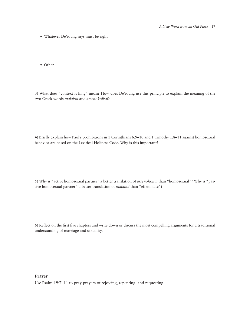- Whatever DeYoung says must be right
- Other

3) What does "context is king" mean? How does DeYoung use this principle to explain the meaning of the two Greek words *malakoi* and *arsenokoikai*?

4) Briefly explain how Paul's prohibitions in 1 Corinthians 6:9–10 and 1 Timothy 1:8–11 against homosexual behavior are based on the Levitical Holiness Code. Why is this important?

5) Why is "active homosexual partner" a better translation of *arsenokoitai* than "homosexual"? Why is "passive homosexual partner" a better translation of *malakoi* than "effeminate"?

6) Reflect on the first five chapters and write down or discuss the most compelling arguments for a traditional understanding of marriage and sexuality.

#### **Prayer**

Use Psalm 19:7–11 to pray prayers of rejoicing, repenting, and requesting.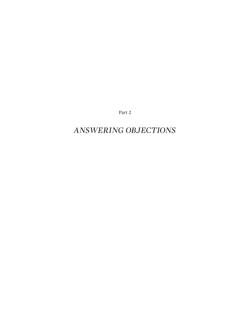Part 2

## *ANSWERING OBJECTIONS*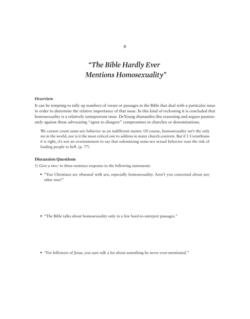## *"The Bible Hardly Ever Mentions Homosexuality"*

## **Overview**

It can be tempting to tally up numbers of verses or passages in the Bible that deal with a particular issue in order to determine the relative importance of that issue. In this kind of reckoning it is concluded that homosexuality is a relatively unimportant issue. DeYoung dismantles this reasoning and argues passionately against those advocating "agree to disagree" compromises in churches or denominations.

We cannot count same-sex behavior as an indifferent matter. Of course, homosexuality isn't the only sin in the world, nor is it the most critical one to address in many church contexts. But if 1 Corinthians 6 is right, it's not an overstatement to say that solemnizing same-sex sexual behavior runs the risk of leading people to hell. (p. 77)

#### **Discussion Questions**

1) Give a two- to three-sentence response to the following statements:

• "You Christians are obsessed with sex, especially homosexuality. Aren't you concerned about any other sins?"

- "The Bible talks about homosexuality only in a few hard-to-interpret passages."
- "For followers of Jesus, you sure talk a lot about something he never even mentioned."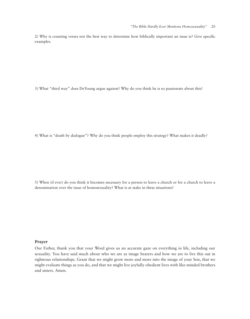2) Why is counting verses not the best way to determine how biblically important an issue is? Give specific examples.

3) What "third way" does DeYoung argue against? Why do you think he is so passionate about this?

4) What is "death by dialogue"? Why do you think people employ this strategy? What makes it deadly?

5) When (if ever) do you think it becomes necessary for a person to leave a church or for a church to leave a denomination over the issue of homosexuality? What is at stake in these situations?

### **Prayer**

Our Father, thank you that your Word gives us an accurate gaze on everything in life, including our sexuality. You have said much about who we are as image bearers and how we are to live this out in righteous relationships. Grant that we might grow more and more into the image of your Son, that we might evaluate things as you do, and that we might live joyfully obedient lives with like-minded brothers and sisters. Amen.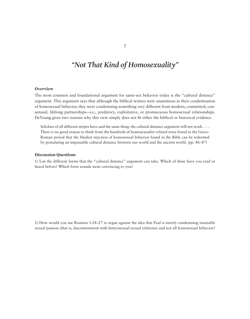## *"Not That Kind of Homosexuality"*

### **Overview**

The most common and foundational argument for same-sex behavior today is the "cultural distance" argument. This argument says that although the biblical writers were unanimous in their condemnation of homosexual behavior, they were condemning something very different from modern, committed, consensual, lifelong partnerships—i.e., predatory, exploitative, or promiscuous homosexual relationships. DeYoung gives two reasons why this view simply does not fit either the biblical or historical evidence.

Scholars of all different stripes have said the same thing: the cultural distance argument will not work. . . . There is no good reason to think from the hundreds of homosexuality-related texts found in the Greco-Roman period that the blanket rejection of homosexual behavior found in the Bible can be redeemed by postulating an impassable cultural distance between our world and the ancient world. (pp. 86–87)

#### **Discussion Questions**

1) List the different forms that the "cultural distance" argument can take. Which of these have you read or heard before? Which form sounds most convincing to you?

2) How would you use Romans 1:24–27 to argue against the idea that Paul is merely condemning insatiable sexual passion (that is, discontentment with heterosexual sexual relations) and not all homosexual behavior?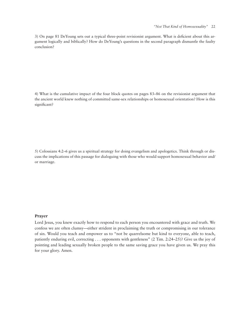3) On page 81 DeYoung sets out a typical three-point revisionist argument. What is deficient about this argument logically and biblically? How do DeYoung's questions in the second paragraph dismantle the faulty conclusion?

4) What is the cumulative impact of the four block quotes on pages 83–86 on the revisionist argument that the ancient world knew nothing of committed same-sex relationships or homosexual orientation? How is this significant?

5) Colossians 4:2–6 gives us a spiritual strategy for doing evangelism and apologetics. Think through or discuss the implications of this passage for dialoguing with those who would support homosexual behavior and/ or marriage.

### **Prayer**

Lord Jesus, you knew exactly how to respond to each person you encountered with grace and truth. We confess we are often clumsy—either strident in proclaiming the truth or compromising in our tolerance of sin. Would you teach and empower us to "not be quarrelsome but kind to everyone, able to teach, patiently enduring evil, correcting . . . opponents with gentleness" (2 Tim. 2:24–25)? Give us the joy of pointing and leading sexually broken people to the same saving grace you have given us. We pray this for your glory. Amen.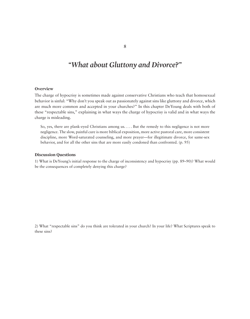## *"What about Gluttony and Divorce?"*

## **Overview**

The charge of hypocrisy is sometimes made against conservative Christians who teach that homosexual behavior is sinful: "Why don't you speak out as passionately against sins like gluttony and divorce, which are much more common and accepted in your churches?" In this chapter DeYoung deals with both of these "respectable sins," explaining in what ways the charge of hypocrisy is valid and in what ways the charge is misleading.

So, yes, there are plank-eyed Christians among us. . . . But the remedy to this negligence is not more negligence. The slow, painful cure is more biblical exposition, more active pastoral care, more consistent discipline, more Word-saturated counseling, and more prayer—for illegitimate divorce, for same-sex behavior, and for all the other sins that are more easily condoned than confronted. (p. 95)

### **Discussion Questions**

1) What is DeYoung's initial response to the charge of inconsistency and hypocrisy (pp. 89–90)? What would be the consequences of completely denying this charge?

2) What "respectable sins" do you think are tolerated in your church? In your life? What Scriptures speak to these sins?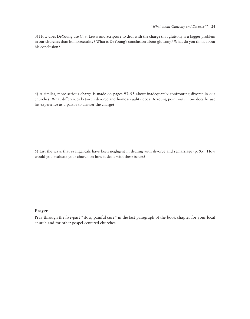3) How does DeYoung use C. S. Lewis and Scripture to deal with the charge that gluttony is a bigger problem in our churches than homosexuality? What is DeYoung's conclusion about gluttony? What do you think about his conclusion?

4) A similar, more serious charge is made on pages 93–95 about inadequately confronting divorce in our churches. What differences between divorce and homosexuality does DeYoung point out? How does he use his experience as a pastor to answer the charge?

5) List the ways that evangelicals have been negligent in dealing with divorce and remarriage (p. 95). How would you evaluate your church on how it deals with these issues?

### **Prayer**

Pray through the five-part "slow, painful cure" in the last paragraph of the book chapter for your local church and for other gospel-centered churches.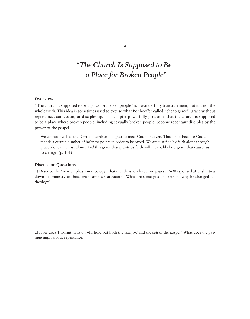## *"The Church Is Supposed to Be a Place for Broken People"*

## **Overview**

"The church is supposed to be a place for broken people" is a wonderfully true statement, but it is not the whole truth. This idea is sometimes used to excuse what Bonhoeffer called "cheap grace": grace without repentance, confession, or discipleship. This chapter powerfully proclaims that the church is supposed to be a place where broken people, including sexually broken people, become repentant disciples by the power of the gospel.

We cannot live like the Devil on earth and expect to meet God in heaven. This is not because God demands a certain number of holiness points in order to be saved. We are justified by faith alone through grace alone in Christ alone. *And* this grace that grants us faith will invariably be a grace that causes us to change. (p. 101)

### **Discussion Questions**

1) Describe the "new emphasis in theology" that the Christian leader on pages 97–98 espoused after shutting down his ministry to those with same-sex attraction. What are some possible reasons why he changed his theology?

2) How does 1 Corinthians 6:9–11 hold out both the *comfort* and the *call* of the gospel? What does the passage imply about repentance?

9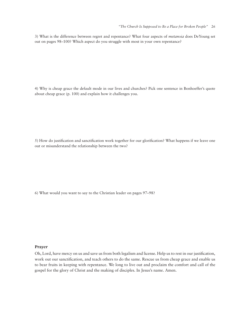3) What is the difference between regret and repentance? What four aspects of *metanoia* does DeYoung set out on pages 98–100? Which aspect do you struggle with most in your own repentance?

4) Why is cheap grace the default mode in our lives and churches? Pick one sentence in Bonhoeffer's quote about cheap grace (p. 100) and explain how it challenges you.

5) How do justification and sanctification work together for our glorification? What happens if we leave one out or misunderstand the relationship between the two?

6) What would you want to say to the Christian leader on pages 97–98?

### **Prayer**

Oh, Lord, have mercy on us and save us from both legalism and license. Help us to rest in our justification, work out our sanctification, and teach others to do the same. Rescue us from cheap grace and enable us to bear fruits in keeping with repentance. We long to live out and proclaim the comfort and call of the gospel for the glory of Christ and the making of disciples. In Jesus's name. Amen.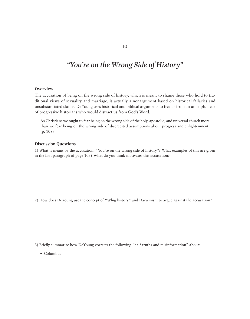## *"You're on the Wrong Side of History"*

## **Overview**

The accusation of being on the wrong side of history, which is meant to shame those who hold to traditional views of sexuality and marriage, is actually a nonargument based on historical fallacies and unsubstantiated claims. DeYoung uses historical and biblical arguments to free us from an unhelpful fear of progressive historians who would distract us from God's Word.

As Christians we ought to fear being on the wrong side of the holy, apostolic, and universal church more than we fear being on the wrong side of discredited assumptions about progress and enlightenment. (p. 108)

#### **Discussion Questions**

1) What is meant by the accusation, "You're on the wrong side of history"? What examples of this are given in the first paragraph of page 103? What do you think motivates this accusation?

2) How does DeYoung use the concept of "Whig history" and Darwinism to argue against the accusation?

3) Briefly summarize how DeYoung corrects the following "half-truths and misinformation" about:

• Columbus

10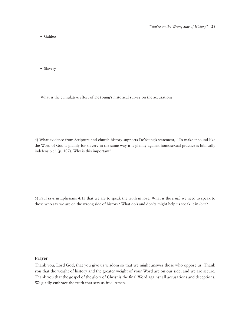• Galileo

• Slavery

What is the cumulative effect of DeYoung's historical survey on the accusation?

4) What evidence from Scripture and church history supports DeYoung's statement, "To make it sound like the Word of God is plainly for slavery in the same way it is plainly against homosexual practice is biblically indefensible" (p. 107). Why is this important?

5) Paul says in Ephesians 4:15 that we are to speak the truth in love. What is the *truth* we need to speak to those who say we are on the wrong side of history? What do's and don'ts might help us speak it in *love*?

#### **Prayer**

Thank you, Lord God, that you give us wisdom so that we might answer those who oppose us. Thank you that the weight of history and the greater weight of your Word are on our side, and we are secure. Thank you that the gospel of the glory of Christ is the final Word against all accusations and deceptions. We gladly embrace the truth that sets us free. Amen.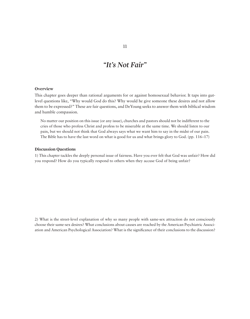## *"It's Not Fair"*

### **Overview**

This chapter goes deeper than rational arguments for or against homosexual behavior. It taps into gutlevel questions like, "Why would God do this? Why would he give someone these desires and not allow them to be expressed?" These are fair questions, and DeYoung seeks to answer them with biblical wisdom and humble compassion.

No matter our position on this issue (or any issue), churches and pastors should not be indifferent to the cries of those who profess Christ and profess to be miserable at the same time. We should listen to our pain, but we should not think that God always says what we want him to say in the midst of our pain. The Bible has to have the last word on what is good for us and what brings glory to God. (pp. 116–17)

### **Discussion Questions**

1) This chapter tackles the deeply personal issue of fairness. Have you ever felt that God was unfair? How did you respond? How do you typically respond to others when they accuse God of being unfair?

2) What is the street-level explanation of why so many people with same-sex attraction do not consciously choose their same-sex desires? What conclusions about causes are reached by the American Psychiatric Association and American Psychological Association? What is the significance of their conclusions to the discussion?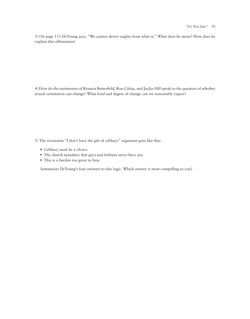3) On page 111 DeYoung says, "We cannot derive oughts from what is." What does he mean? How does he explain this affirmation?

4) How do the testimonies of Rosaria Butterfield, Ron Citlau, and Jackie Hill speak to the question of whether sexual orientation can change? What kind and degree of change can we reasonably expect?

5) The revisionist "I don't have the gift of celibacy" argument goes like this:

- Celibacy must be a *choice.*
- The church *mandates* that gays and lesbians never have sex.
- This is a *burden* too great to bear.

Summarize DeYoung's four answers to this logic. Which answer is most compelling to you?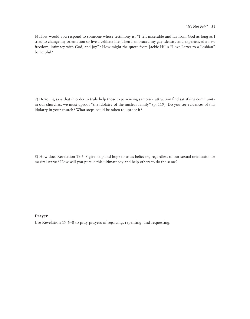6) How would you respond to someone whose testimony is, "I felt miserable and far from God as long as I tried to change my orientation or live a celibate life. Then I embraced my gay identity and experienced a new freedom, intimacy with God, and joy"? How might the quote from Jackie Hill's "Love Letter to a Lesbian" be helpful?

7) DeYoung says that in order to truly help those experiencing same-sex attraction find satisfying community in our churches, we must uproot "the idolatry of the nuclear family" (p. 119). Do you see evidences of this idolatry in your church? What steps could be taken to uproot it?

8) How does Revelation 19:6–8 give help and hope to us as believers, regardless of our sexual orientation or marital status? How will you pursue this ultimate joy and help others to do the same?

### **Prayer**

Use Revelation 19:6–8 to pray prayers of rejoicing, repenting, and requesting.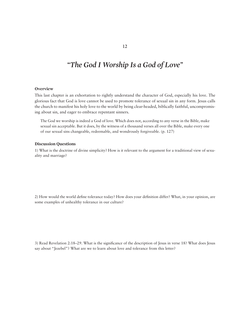## *"The God I Worship Is a God of Love"*

## **Overview**

This last chapter is an exhortation to rightly understand the character of God, especially his love. The glorious fact that God is love cannot be used to promote tolerance of sexual sin in any form. Jesus calls the church to manifest his holy love to the world by being clear-headed, biblically faithful, uncompromising about sin, and eager to embrace repentant sinners.

The God we worship is indeed a God of love. Which does not, according to any verse in the Bible, make sexual sin acceptable. But it does, by the witness of a thousand verses all over the Bible, make every one of our sexual sins changeable, redeemable, and wondrously forgiveable. (p. 127)

#### **Discussion Questions**

1) What is the doctrine of divine simplicity? How is it relevant to the argument for a traditional view of sexuality and marriage?

2) How would the world define tolerance today? How does your definition differ? What, in your opinion, are some examples of unhealthy tolerance in our culture?

3) Read Revelation 2:18–29. What is the significance of the description of Jesus in verse 18? What does Jesus say about "Jezebel"? What are we to learn about love and tolerance from this letter?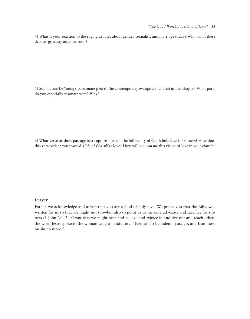4) What is your reaction to the raging debates about gender, sexuality, and marriage today? Why won't these debates go away anytime soon?

5) Summarize DeYoung's passionate plea to the contemporary evangelical church in this chapter. What parts do you especially resonate with? Why?

6) What verse or short passage best captures for you the full reality of God's holy love for sinners? How does this verse orient you toward a life of Christlike love? How will you pursue this vision of love in your church?

#### **Prayer**

Father, we acknowledge and affirm that you are a God of holy love. We praise you that the Bible was written for us so that we might not sin—but also to point us to the only advocate and sacrifice for sinners (1 John 2:1–2). Grant that we might hear and believe and rejoice in and live out and teach others the word Jesus spoke to the woman caught in adultery: "Neither do I condemn you; go, and from now on sin no more."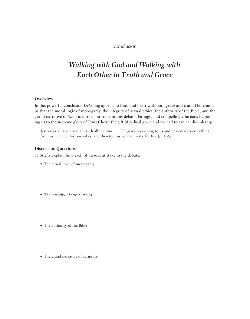## Conclusion

## *Walking with God and Walking with Each Other in Truth and Grace*

## **Overview**

In this powerful conclusion DeYoung appeals to head and heart with both grace and truth. He reminds us that the moral logic of monogamy, the integrity of sexual ethics, the authority of the Bible, and the grand narrative of Scripture are all at stake in this debate. Fittingly and compellingly he ends by pointing us to the supreme glory of Jesus Christ: the gift of radical grace and the call to radical discipleship.

Jesus was all grace and all truth all the time. . . . He gives everything to us and he demands everything from us. He died for our sakes, and then told us we had to die for his. (p. 135)

### **Discussion Questions**

1) Briefly explain how each of these is at stake in the debate:

- The moral logic of monogamy
- The integrity of sexual ethics
- The authority of the Bible
- The grand narrative of Scripture